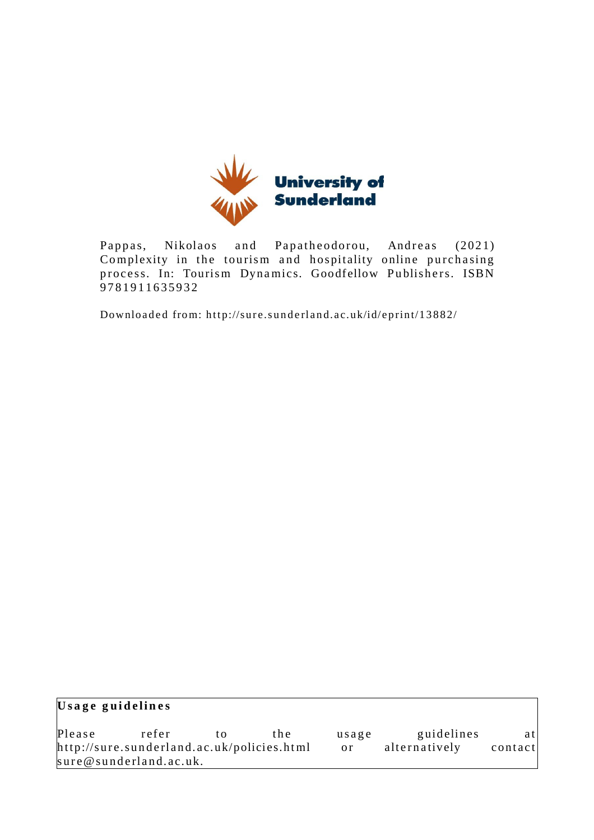

Pappas, Nikolaos and Papatheodorou, Andreas (2021) Complexity in the tourism and hospitality online purchasing process. In: Tourism Dynamics. Goodfellow Publishers. ISBN 9 7 8 1 9 1 1 6 3 5 9 3 2

Downloaded from: http://sure.sunderland.ac.uk/id/eprint/13882/

| Usage guidelines                           |                        |    |       |       |               |         |  |  |  |
|--------------------------------------------|------------------------|----|-------|-------|---------------|---------|--|--|--|
| Please                                     | refer                  | tΩ | t h e | usage | guidelines    | atl     |  |  |  |
| http://sure.sunderland.ac.uk/policies.html |                        |    |       | or =  | alternatively | contact |  |  |  |
|                                            | sure@sunderland.ac.uk. |    |       |       |               |         |  |  |  |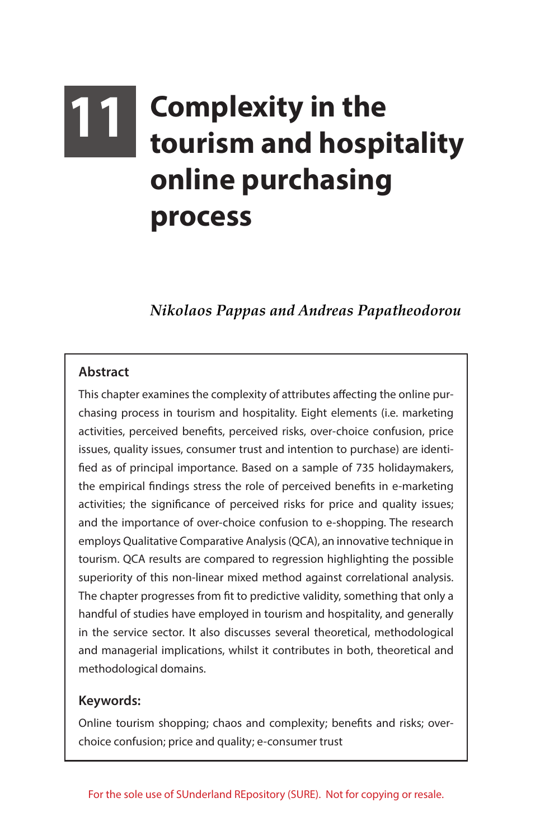# **11 Complexity in the tourism and hospitality online purchasing process**

## *Nikolaos Pappas and Andreas Papatheodorou*

#### **Abstract**

This chapter examines the complexity of attributes affecting the online purchasing process in tourism and hospitality. Eight elements (i.e. marketing activities, perceived benefits, perceived risks, over-choice confusion, price issues, quality issues, consumer trust and intention to purchase) are identified as of principal importance. Based on a sample of 735 holidaymakers, the empirical findings stress the role of perceived benefits in e-marketing activities; the significance of perceived risks for price and quality issues; and the importance of over-choice confusion to e-shopping. The research employs Qualitative Comparative Analysis (QCA), an innovative technique in tourism. QCA results are compared to regression highlighting the possible superiority of this non-linear mixed method against correlational analysis. The chapter progresses from fit to predictive validity, something that only a handful of studies have employed in tourism and hospitality, and generally in the service sector. It also discusses several theoretical, methodological and managerial implications, whilst it contributes in both, theoretical and methodological domains.

#### **Keywords:**

Online tourism shopping; chaos and complexity; benefits and risks; overchoice confusion; price and quality; e-consumer trust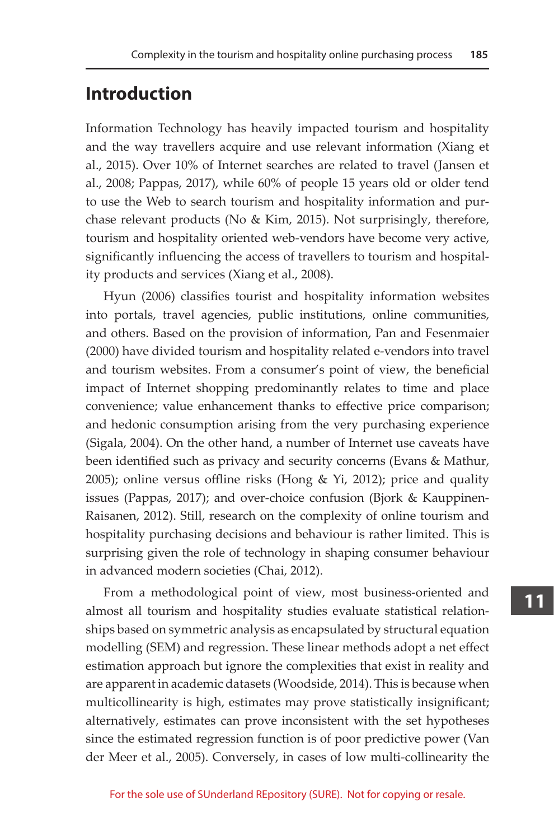## **Introduction**

Information Technology has heavily impacted tourism and hospitality and the way travellers acquire and use relevant information (Xiang et al., 2015). Over 10% of Internet searches are related to travel (Jansen et al., 2008; Pappas, 2017), while 60% of people 15 years old or older tend to use the Web to search tourism and hospitality information and purchase relevant products (No & Kim, 2015). Not surprisingly, therefore, tourism and hospitality oriented web-vendors have become very active, significantly influencing the access of travellers to tourism and hospitality products and services (Xiang et al., 2008).

Hyun (2006) classifies tourist and hospitality information websites into portals, travel agencies, public institutions, online communities, and others. Based on the provision of information, Pan and Fesenmaier (2000) have divided tourism and hospitality related e-vendors into travel and tourism websites. From a consumer's point of view, the beneficial impact of Internet shopping predominantly relates to time and place convenience; value enhancement thanks to effective price comparison; and hedonic consumption arising from the very purchasing experience (Sigala, 2004). On the other hand, a number of Internet use caveats have been identified such as privacy and security concerns (Evans & Mathur, 2005); online versus offline risks (Hong & Yi, 2012); price and quality issues (Pappas, 2017); and over-choice confusion (Bjork & Kauppinen-Raisanen, 2012). Still, research on the complexity of online tourism and hospitality purchasing decisions and behaviour is rather limited. This is surprising given the role of technology in shaping consumer behaviour in advanced modern societies (Chai, 2012).

From a methodological point of view, most business-oriented and almost all tourism and hospitality studies evaluate statistical relationships based on symmetric analysis as encapsulated by structural equation modelling (SEM) and regression. These linear methods adopt a net effect estimation approach but ignore the complexities that exist in reality and are apparent in academic datasets (Woodside, 2014). This is because when multicollinearity is high, estimates may prove statistically insignificant; alternatively, estimates can prove inconsistent with the set hypotheses since the estimated regression function is of poor predictive power (Van der Meer et al., 2005). Conversely, in cases of low multi-collinearity the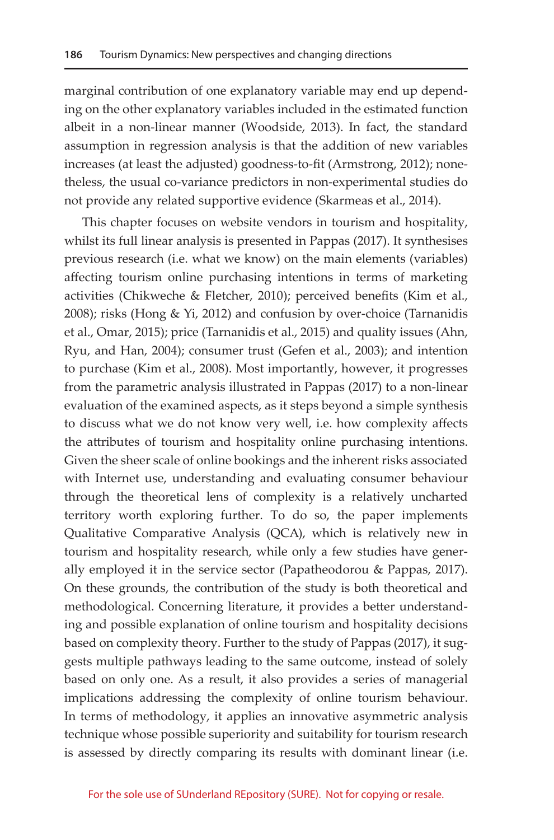marginal contribution of one explanatory variable may end up depending on the other explanatory variables included in the estimated function albeit in a non-linear manner (Woodside, 2013). In fact, the standard assumption in regression analysis is that the addition of new variables increases (at least the adjusted) goodness-to-fit (Armstrong, 2012); nonetheless, the usual co-variance predictors in non-experimental studies do not provide any related supportive evidence (Skarmeas et al., 2014).

This chapter focuses on website vendors in tourism and hospitality, whilst its full linear analysis is presented in Pappas (2017). It synthesises previous research (i.e. what we know) on the main elements (variables) affecting tourism online purchasing intentions in terms of marketing activities (Chikweche & Fletcher, 2010); perceived benefits (Kim et al., 2008); risks (Hong & Yi, 2012) and confusion by over-choice (Tarnanidis et al., Omar, 2015); price (Tarnanidis et al., 2015) and quality issues (Ahn, Ryu, and Han, 2004); consumer trust (Gefen et al., 2003); and intention to purchase (Kim et al., 2008). Most importantly, however, it progresses from the parametric analysis illustrated in Pappas (2017) to a non-linear evaluation of the examined aspects, as it steps beyond a simple synthesis to discuss what we do not know very well, i.e. how complexity affects the attributes of tourism and hospitality online purchasing intentions. Given the sheer scale of online bookings and the inherent risks associated with Internet use, understanding and evaluating consumer behaviour through the theoretical lens of complexity is a relatively uncharted territory worth exploring further. To do so, the paper implements Qualitative Comparative Analysis (QCA), which is relatively new in tourism and hospitality research, while only a few studies have generally employed it in the service sector (Papatheodorou & Pappas, 2017). On these grounds, the contribution of the study is both theoretical and methodological. Concerning literature, it provides a better understanding and possible explanation of online tourism and hospitality decisions based on complexity theory. Further to the study of Pappas (2017), it suggests multiple pathways leading to the same outcome, instead of solely based on only one. As a result, it also provides a series of managerial implications addressing the complexity of online tourism behaviour. In terms of methodology, it applies an innovative asymmetric analysis technique whose possible superiority and suitability for tourism research is assessed by directly comparing its results with dominant linear (i.e.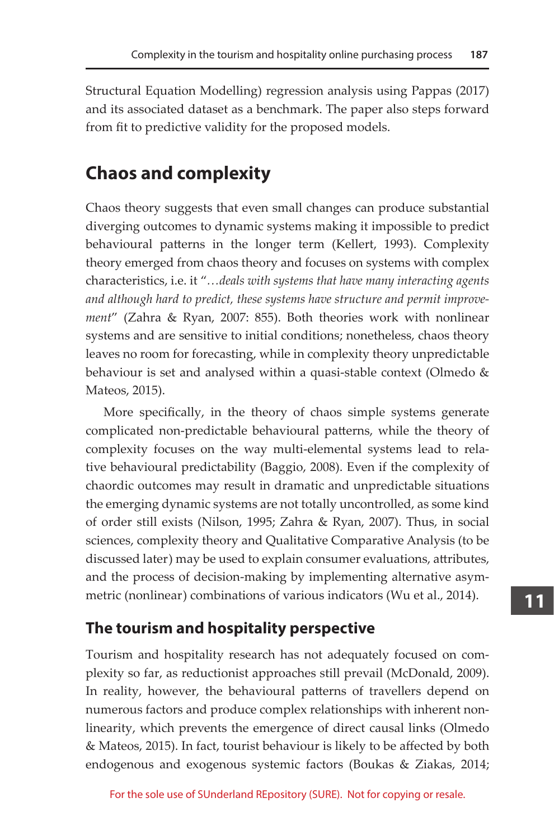Structural Equation Modelling) regression analysis using Pappas (2017) and its associated dataset as a benchmark. The paper also steps forward from fit to predictive validity for the proposed models.

# **Chaos and complexity**

Chaos theory suggests that even small changes can produce substantial diverging outcomes to dynamic systems making it impossible to predict behavioural patterns in the longer term (Kellert, 1993). Complexity theory emerged from chaos theory and focuses on systems with complex characteristics, i.e. it "*…deals with systems that have many interacting agents and although hard to predict, these systems have structure and permit improvement*" (Zahra & Ryan, 2007: 855). Both theories work with nonlinear systems and are sensitive to initial conditions; nonetheless, chaos theory leaves no room for forecasting, while in complexity theory unpredictable behaviour is set and analysed within a quasi-stable context (Olmedo & Mateos, 2015).

More specifically, in the theory of chaos simple systems generate complicated non-predictable behavioural patterns, while the theory of complexity focuses on the way multi-elemental systems lead to relative behavioural predictability (Baggio, 2008). Even if the complexity of chaordic outcomes may result in dramatic and unpredictable situations the emerging dynamic systems are not totally uncontrolled, as some kind of order still exists (Nilson, 1995; Zahra & Ryan, 2007). Thus, in social sciences, complexity theory and Qualitative Comparative Analysis (to be discussed later) may be used to explain consumer evaluations, attributes, and the process of decision-making by implementing alternative asymmetric (nonlinear) combinations of various indicators (Wu et al., 2014).

## **The tourism and hospitality perspective**

Tourism and hospitality research has not adequately focused on complexity so far, as reductionist approaches still prevail (McDonald, 2009). In reality, however, the behavioural patterns of travellers depend on numerous factors and produce complex relationships with inherent nonlinearity, which prevents the emergence of direct causal links (Olmedo & Mateos, 2015). In fact, tourist behaviour is likely to be affected by both endogenous and exogenous systemic factors (Boukas & Ziakas, 2014;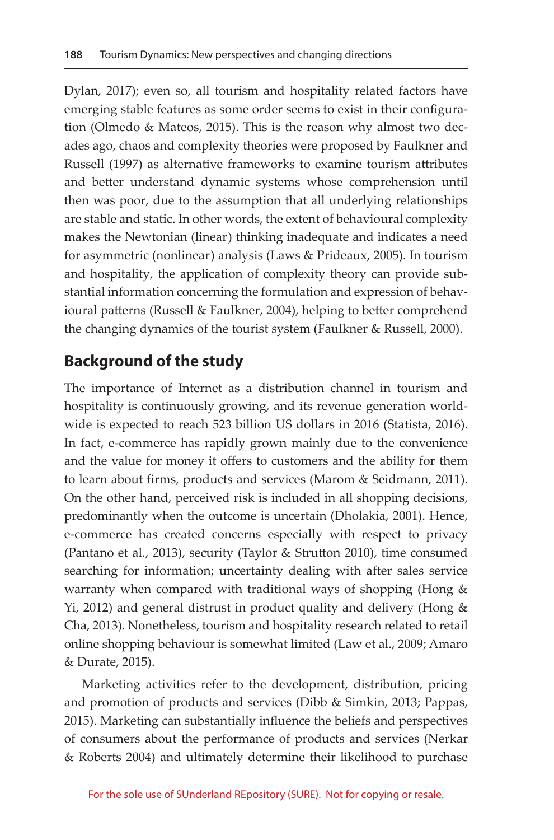Dylan, 2017); even so, all tourism and hospitality related factors have emerging stable features as some order seems to exist in their configuration (Olmedo & Mateos, 2015). This is the reason why almost two decades ago, chaos and complexity theories were proposed by Faulkner and Russell (1997) as alternative frameworks to examine tourism attributes and better understand dynamic systems whose comprehension until then was poor, due to the assumption that all underlying relationships are stable and static. In other words, the extent of behavioural complexity makes the Newtonian (linear) thinking inadequate and indicates a need for asymmetric (nonlinear) analysis (Laws & Prideaux, 2005). In tourism and hospitality, the application of complexity theory can provide substantial information concerning the formulation and expression of behavioural patterns (Russell & Faulkner, 2004), helping to better comprehend the changing dynamics of the tourist system (Faulkner & Russell, 2000).

## **Background of the study**

The importance of Internet as a distribution channel in tourism and hospitality is continuously growing, and its revenue generation worldwide is expected to reach 523 billion US dollars in 2016 (Statista, 2016). In fact, e-commerce has rapidly grown mainly due to the convenience and the value for money it offers to customers and the ability for them to learn about firms, products and services (Marom & Seidmann, 2011). On the other hand, perceived risk is included in all shopping decisions, predominantly when the outcome is uncertain (Dholakia, 2001). Hence, e-commerce has created concerns especially with respect to privacy (Pantano et al., 2013), security (Taylor & Strutton 2010), time consumed searching for information; uncertainty dealing with after sales service warranty when compared with traditional ways of shopping (Hong  $&$ Yi, 2012) and general distrust in product quality and delivery (Hong  $&$ Cha, 2013). Nonetheless, tourism and hospitality research related to retail online shopping behaviour is somewhat limited (Law et al., 2009; Amaro & Durate, 2015).

Marketing activities refer to the development, distribution, pricing and promotion of products and services (Dibb & Simkin, 2013; Pappas, 2015). Marketing can substantially influence the beliefs and perspectives of consumers about the performance of products and services (Nerkar & Roberts 2004) and ultimately determine their likelihood to purchase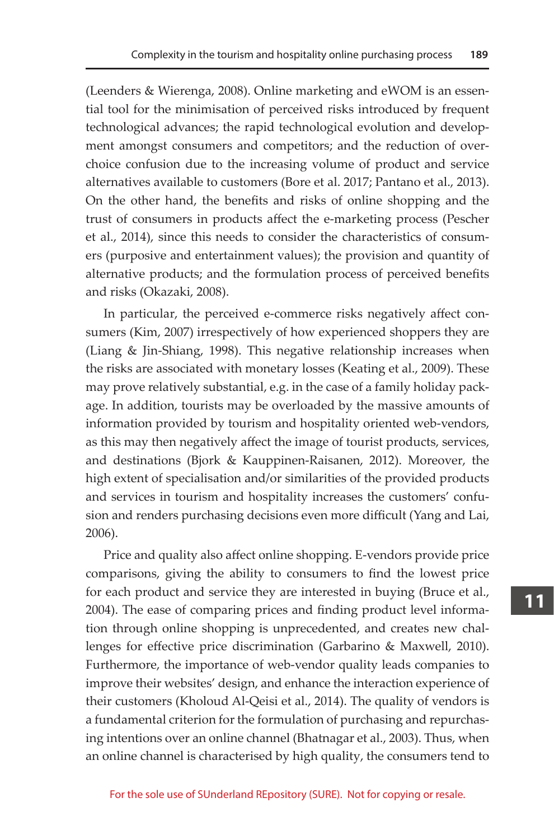(Leenders & Wierenga, 2008). Online marketing and eWOM is an essential tool for the minimisation of perceived risks introduced by frequent technological advances; the rapid technological evolution and development amongst consumers and competitors; and the reduction of overchoice confusion due to the increasing volume of product and service alternatives available to customers (Bore et al. 2017; Pantano et al., 2013). On the other hand, the benefits and risks of online shopping and the trust of consumers in products affect the e-marketing process (Pescher et al., 2014), since this needs to consider the characteristics of consumers (purposive and entertainment values); the provision and quantity of alternative products; and the formulation process of perceived benefits and risks (Okazaki, 2008).

In particular, the perceived e-commerce risks negatively affect consumers (Kim, 2007) irrespectively of how experienced shoppers they are (Liang & Jin-Shiang, 1998). This negative relationship increases when the risks are associated with monetary losses (Keating et al., 2009). These may prove relatively substantial, e.g. in the case of a family holiday package. In addition, tourists may be overloaded by the massive amounts of information provided by tourism and hospitality oriented web-vendors, as this may then negatively affect the image of tourist products, services, and destinations (Bjork & Kauppinen-Raisanen, 2012). Moreover, the high extent of specialisation and/or similarities of the provided products and services in tourism and hospitality increases the customers' confusion and renders purchasing decisions even more difficult (Yang and Lai, 2006).

Price and quality also affect online shopping. E-vendors provide price comparisons, giving the ability to consumers to find the lowest price for each product and service they are interested in buying (Bruce et al., 2004). The ease of comparing prices and finding product level information through online shopping is unprecedented, and creates new challenges for effective price discrimination (Garbarino & Maxwell, 2010). Furthermore, the importance of web-vendor quality leads companies to improve their websites' design, and enhance the interaction experience of their customers (Kholoud Al-Qeisi et al., 2014). The quality of vendors is a fundamental criterion for the formulation of purchasing and repurchasing intentions over an online channel (Bhatnagar et al., 2003). Thus, when an online channel is characterised by high quality, the consumers tend to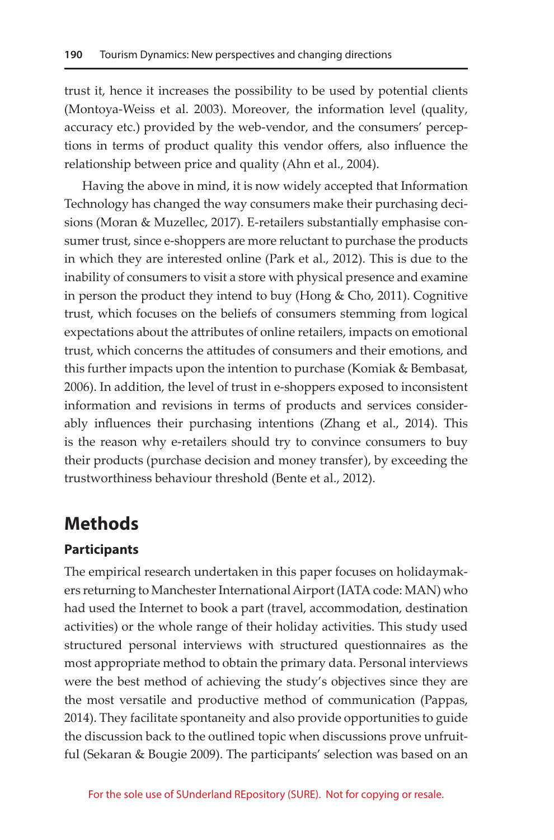trust it, hence it increases the possibility to be used by potential clients (Montoya-Weiss et al. 2003). Moreover, the information level (quality, accuracy etc.) provided by the web-vendor, and the consumers' perceptions in terms of product quality this vendor offers, also influence the relationship between price and quality (Ahn et al., 2004).

Having the above in mind, it is now widely accepted that Information Technology has changed the way consumers make their purchasing decisions (Moran & Muzellec, 2017). E-retailers substantially emphasise consumer trust, since e-shoppers are more reluctant to purchase the products in which they are interested online (Park et al., 2012). This is due to the inability of consumers to visit a store with physical presence and examine in person the product they intend to buy (Hong & Cho, 2011). Cognitive trust, which focuses on the beliefs of consumers stemming from logical expectations about the attributes of online retailers, impacts on emotional trust, which concerns the attitudes of consumers and their emotions, and this further impacts upon the intention to purchase (Komiak & Bembasat, 2006). In addition, the level of trust in e-shoppers exposed to inconsistent information and revisions in terms of products and services considerably influences their purchasing intentions (Zhang et al., 2014). This is the reason why e-retailers should try to convince consumers to buy their products (purchase decision and money transfer), by exceeding the trustworthiness behaviour threshold (Bente et al., 2012).

## **Methods**

#### **Participants**

The empirical research undertaken in this paper focuses on holidaymakers returning to Manchester International Airport (IATA code: MAN) who had used the Internet to book a part (travel, accommodation, destination activities) or the whole range of their holiday activities. This study used structured personal interviews with structured questionnaires as the most appropriate method to obtain the primary data. Personal interviews were the best method of achieving the study's objectives since they are the most versatile and productive method of communication (Pappas, 2014). They facilitate spontaneity and also provide opportunities to guide the discussion back to the outlined topic when discussions prove unfruitful (Sekaran & Bougie 2009). The participants' selection was based on an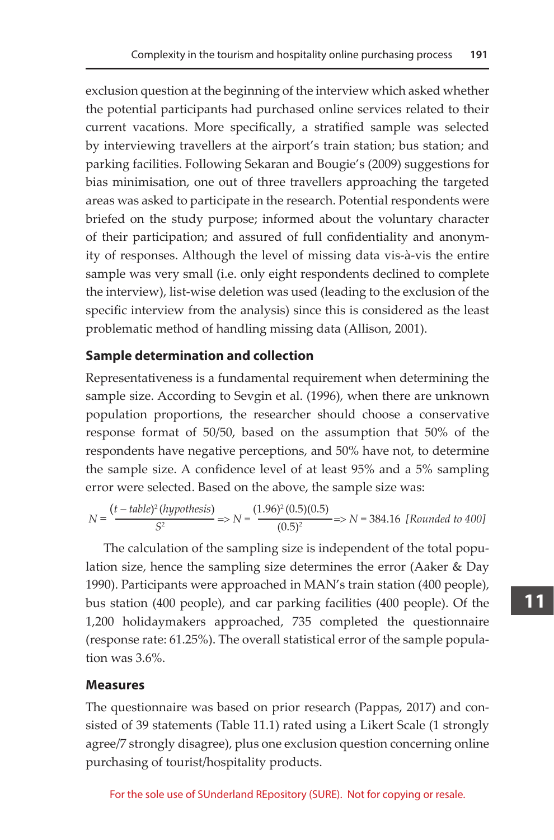exclusion question at the beginning of the interview which asked whether the potential participants had purchased online services related to their current vacations. More specifically, a stratified sample was selected by interviewing travellers at the airport's train station; bus station; and parking facilities. Following Sekaran and Bougie's (2009) suggestions for bias minimisation, one out of three travellers approaching the targeted areas was asked to participate in the research. Potential respondents were briefed on the study purpose; informed about the voluntary character of their participation; and assured of full confidentiality and anonymity of responses. Although the level of missing data vis-à-vis the entire sample was very small (i.e. only eight respondents declined to complete the interview), list-wise deletion was used (leading to the exclusion of the specific interview from the analysis) since this is considered as the least problematic method of handling missing data (Allison, 2001).

#### **Sample determination and collection**

Representativeness is a fundamental requirement when determining the sample size. According to Sevgin et al. (1996), when there are unknown population proportions, the researcher should choose a conservative response format of 50/50, based on the assumption that 50% of the respondents have negative perceptions, and 50% have not, to determine the sample size. A confidence level of at least 95% and a 5% sampling error were selected. Based on the above, the sample size was:

$$
N = \frac{(t - table)^2(hypothesis)}{S^2} \Rightarrow N = \frac{(1.96)^2(0.5)(0.5)}{(0.5)^2} \Rightarrow N = 384.16
$$
 [Rounded to 400]

The calculation of the sampling size is independent of the total population size, hence the sampling size determines the error (Aaker & Day 1990). Participants were approached in MAN's train station (400 people), bus station (400 people), and car parking facilities (400 people). Of the 1,200 holidaymakers approached, 735 completed the questionnaire (response rate: 61.25%). The overall statistical error of the sample population was 3.6%.

#### **Measures**

The questionnaire was based on prior research (Pappas, 2017) and consisted of 39 statements (Table 11.1) rated using a Likert Scale (1 strongly agree/7 strongly disagree), plus one exclusion question concerning online purchasing of tourist/hospitality products.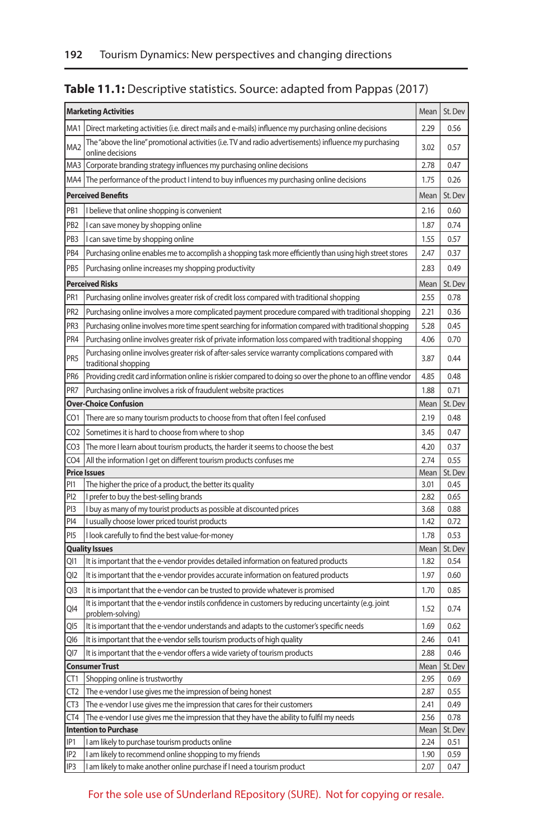## **Table 11.1:** Descriptive statistics. Source: adapted from Pappas (2017)

| <b>Marketing Activities</b> |                                                                                                                             |              |              |
|-----------------------------|-----------------------------------------------------------------------------------------------------------------------------|--------------|--------------|
|                             | MA1   Direct marketing activities (i.e. direct mails and e-mails) influence my purchasing online decisions                  | 2.29         | 0.56         |
| MA <sub>2</sub>             | The "above the line" promotional activities (i.e. TV and radio advertisements) influence my purchasing<br>online decisions  | 3.02         | 0.57         |
|                             | MA3 Corporate branding strategy influences my purchasing online decisions                                                   | 2.78         | 0.47         |
|                             | MA4 The performance of the product I intend to buy influences my purchasing online decisions                                | 1.75         | 0.26         |
|                             | <b>Perceived Benefits</b>                                                                                                   |              |              |
| PB1                         | I believe that online shopping is convenient                                                                                | 2.16         | 0.60         |
| PB <sub>2</sub>             | I can save money by shopping online                                                                                         | 1.87         | 0.74         |
| PB <sub>3</sub>             | I can save time by shopping online                                                                                          | 1.55         | 0.57         |
| PB4                         | Purchasing online enables me to accomplish a shopping task more efficiently than using high street stores                   | 2.47         | 0.37         |
| PB5                         | Purchasing online increases my shopping productivity                                                                        | 2.83         | 0.49         |
|                             | <b>Perceived Risks</b>                                                                                                      | Mean         | St. Dev      |
| PR1                         | Purchasing online involves greater risk of credit loss compared with traditional shopping                                   | 2.55         | 0.78         |
| PR <sub>2</sub>             | Purchasing online involves a more complicated payment procedure compared with traditional shopping                          | 2.21         | 0.36         |
| PR <sub>3</sub>             | Purchasing online involves more time spent searching for information compared with traditional shopping                     | 5.28         | 0.45         |
| PR4                         | Purchasing online involves greater risk of private information loss compared with traditional shopping                      | 4.06         | 0.70         |
| PR5                         | Purchasing online involves greater risk of after-sales service warranty complications compared with<br>traditional shopping | 3.87         | 0.44         |
| PR <sub>6</sub>             | Providing credit card information online is riskier compared to doing so over the phone to an offline vendor                | 4.85         | 0.48         |
| PR7                         | Purchasing online involves a risk of fraudulent website practices                                                           | 1.88         | 0.71         |
|                             | <b>Over-Choice Confusion</b>                                                                                                | Mean         | St. Dev      |
| CO1                         | There are so many tourism products to choose from that often I feel confused                                                | 2.19         | 0.48         |
| CO <sub>2</sub>             | Sometimes it is hard to choose from where to shop                                                                           | 3.45         | 0.47         |
| CO <sub>3</sub>             | The more I learn about tourism products, the harder it seems to choose the best                                             | 4.20         | 0.37         |
| CO <sub>4</sub>             | All the information I get on different tourism products confuses me                                                         | 2.74         | 0.55         |
|                             | <b>Price Issues</b>                                                                                                         | Mean         | St. Dev      |
| P <sub>1</sub>              | The higher the price of a product, the better its quality                                                                   | 3.01         | 0.45         |
| PI <sub>2</sub>             | I prefer to buy the best-selling brands                                                                                     | 2.82         | 0.65         |
| PI3<br>PI4                  | I buy as many of my tourist products as possible at discounted prices<br>I usually choose lower priced tourist products     | 3.68<br>1.42 | 0.88<br>0.72 |
| PI <sub>5</sub>             | I look carefully to find the best value-for-money                                                                           | 1.78         | 0.53         |
|                             | <b>Quality Issues</b>                                                                                                       | Mean         | St. Dev      |
| QI1                         | It is important that the e-vendor provides detailed information on featured products                                        | 1.82         | 0.54         |
| QI2                         | It is important that the e-vendor provides accurate information on featured products                                        | 1.97         | 0.60         |
| Q <sub>13</sub>             | It is important that the e-vendor can be trusted to provide whatever is promised                                            | 1.70         | 0.85         |
| QI4                         | It is important that the e-vendor instils confidence in customers by reducing uncertainty (e.g. joint                       | 1.52         | 0.74         |
|                             | problem-solving)                                                                                                            |              |              |
| QI5                         | It is important that the e-vendor understands and adapts to the customer's specific needs                                   | 1.69         | 0.62         |
| Q16                         | It is important that the e-vendor sells tourism products of high quality                                                    | 2.46         | 0.41         |
| Ql7                         | It is important that the e-vendor offers a wide variety of tourism products                                                 | 2.88         | 0.46         |
|                             | <b>Consumer Trust</b>                                                                                                       | Mean         | St. Dev      |
| CT1<br>CT <sub>2</sub>      | Shopping online is trustworthy<br>The e-vendor I use gives me the impression of being honest                                | 2.95<br>2.87 | 0.69<br>0.55 |
| CT <sub>3</sub>             | The e-vendor I use gives me the impression that cares for their customers                                                   | 2.41         | 0.49         |
| CT4                         | The e-vendor I use gives me the impression that they have the ability to fulfil my needs                                    | 2.56         | 0.78         |
|                             | <b>Intention to Purchase</b>                                                                                                | Mean         | St. Dev      |
| IP <sub>1</sub>             | I am likely to purchase tourism products online                                                                             | 2.24         | 0.51         |
| IP <sub>2</sub>             | I am likely to recommend online shopping to my friends                                                                      | 1.90         | 0.59         |
| IP3                         | I am likely to make another online purchase if I need a tourism product                                                     | 2.07         | 0.47         |

For the sole use of SUnderland REpository (SURE). Not for copying or resale.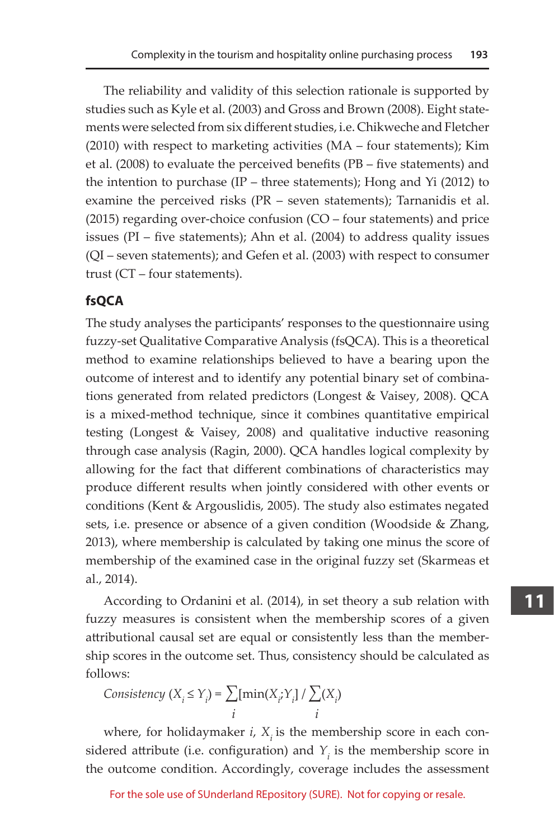The reliability and validity of this selection rationale is supported by studies such as Kyle et al. (2003) and Gross and Brown (2008). Eight statements were selected from six different studies, i.e. Chikweche and Fletcher (2010) with respect to marketing activities (MA – four statements); Kim et al. (2008) to evaluate the perceived benefits (PB – five statements) and the intention to purchase (IP – three statements); Hong and Yi (2012) to examine the perceived risks (PR – seven statements); Tarnanidis et al. (2015) regarding over-choice confusion (CO – four statements) and price issues (PI – five statements); Ahn et al. (2004) to address quality issues (QI – seven statements); and Gefen et al. (2003) with respect to consumer trust (CT – four statements).

#### **fsQCA**

The study analyses the participants' responses to the questionnaire using fuzzy-set Qualitative Comparative Analysis (fsQCA). This is a theoretical method to examine relationships believed to have a bearing upon the outcome of interest and to identify any potential binary set of combinations generated from related predictors (Longest & Vaisey, 2008). QCA is a mixed-method technique, since it combines quantitative empirical testing (Longest & Vaisey, 2008) and qualitative inductive reasoning through case analysis (Ragin, 2000). QCA handles logical complexity by allowing for the fact that different combinations of characteristics may produce different results when jointly considered with other events or conditions (Kent & Argouslidis, 2005). The study also estimates negated sets, i.e. presence or absence of a given condition (Woodside & Zhang, 2013), where membership is calculated by taking one minus the score of membership of the examined case in the original fuzzy set (Skarmeas et al., 2014).

According to Ordanini et al. (2014), in set theory a sub relation with fuzzy measures is consistent when the membership scores of a given attributional causal set are equal or consistently less than the membership scores in the outcome set. Thus, consistency should be calculated as follows:

$$
Consistency (X_i \le Y_i) = \sum_i [\min(X_i; Y_i] / \sum_i (X_i)
$$

where, for holidaymaker  $i$ ,  $X_i$  is the membership score in each considered attribute (i.e. configuration) and  $Y_i$  is the membership score in the outcome condition. Accordingly, coverage includes the assessment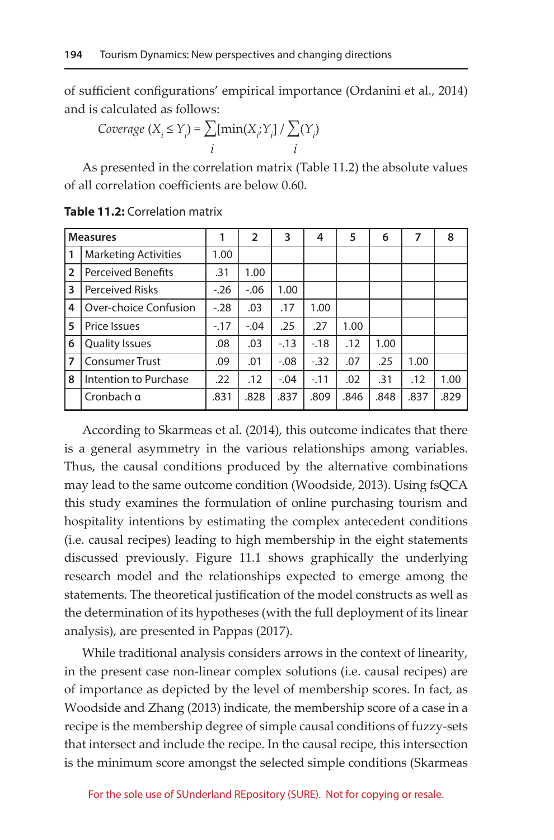of sufficient configurations' empirical importance (Ordanini et al., 2014) and is calculated as follows:

$$
Coverage (X_i \le Y_i) = \sum_i [min(X_i; Y_i] / \sum_i (Y_i)
$$

As presented in the correlation matrix (Table 11.2) the absolute values of all correlation coefficients are below 0.60.

| <b>Measures</b> |                             |        | 2       | 3      | 4      | 5    | 6    | 7    | 8    |
|-----------------|-----------------------------|--------|---------|--------|--------|------|------|------|------|
| 1               | <b>Marketing Activities</b> | 1.00   |         |        |        |      |      |      |      |
| $\overline{2}$  | <b>Perceived Benefits</b>   | .31    | 1.00    |        |        |      |      |      |      |
| 3               | <b>Perceived Risks</b>      | $-.26$ | $-0.06$ | 1.00   |        |      |      |      |      |
| 4               | Over-choice Confusion       | $-.28$ | .03     | .17    | 1.00   |      |      |      |      |
| 5               | Price Issues                | $-17$  | $-.04$  | .25    | .27    | 1.00 |      |      |      |
| 6               | <b>Quality Issues</b>       | .08    | .03     | $-.13$ | $-18$  | .12  | 1.00 |      |      |
| 7               | <b>Consumer Trust</b>       | .09    | .01     | $-.08$ | $-.32$ | .07  | .25  | 1.00 |      |
| 8               | Intention to Purchase       | .22    | .12     | $-.04$ | $-.11$ | .02  | .31  | .12  | 1.00 |
|                 | Cronbach q                  | .831   | .828    | .837   | .809   | .846 | .848 | .837 | .829 |

**Table 11.2:** Correlation matrix

According to Skarmeas et al. (2014), this outcome indicates that there is a general asymmetry in the various relationships among variables. Thus, the causal conditions produced by the alternative combinations may lead to the same outcome condition (Woodside, 2013). Using fsQCA this study examines the formulation of online purchasing tourism and hospitality intentions by estimating the complex antecedent conditions (i.e. causal recipes) leading to high membership in the eight statements discussed previously. Figure 11.1 shows graphically the underlying research model and the relationships expected to emerge among the statements. The theoretical justification of the model constructs as well as the determination of its hypotheses (with the full deployment of its linear analysis), are presented in Pappas (2017).

While traditional analysis considers arrows in the context of linearity, in the present case non-linear complex solutions (i.e. causal recipes) are of importance as depicted by the level of membership scores. In fact, as Woodside and Zhang (2013) indicate, the membership score of a case in a recipe is the membership degree of simple causal conditions of fuzzy-sets that intersect and include the recipe. In the causal recipe, this intersection is the minimum score amongst the selected simple conditions (Skarmeas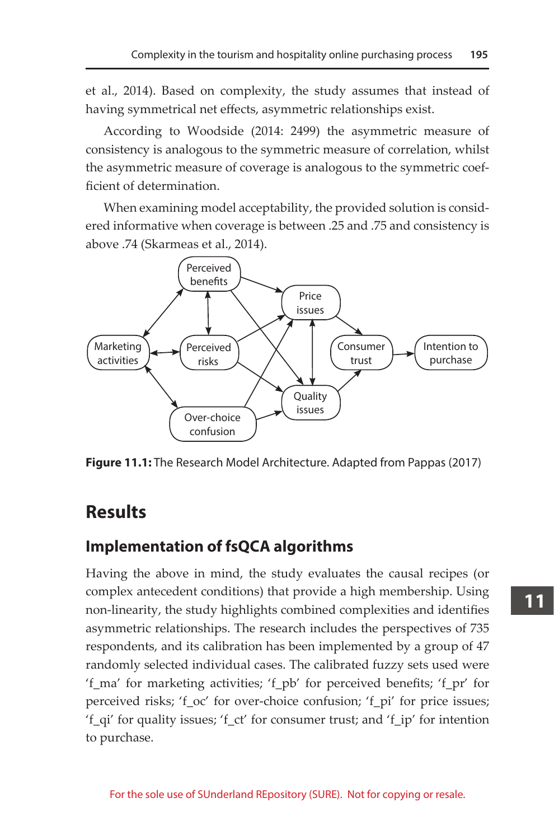et al., 2014). Based on complexity, the study assumes that instead of having symmetrical net effects, asymmetric relationships exist.

According to Woodside (2014: 2499) the asymmetric measure of consistency is analogous to the symmetric measure of correlation, whilst the asymmetric measure of coverage is analogous to the symmetric coefficient of determination.

When examining model acceptability, the provided solution is considered informative when coverage is between .25 and .75 and consistency is above .74 (Skarmeas et al., 2014).



**Figure 11.1:** The Research Model Architecture. Adapted from Pappas (2017)

# **Results**

## **Implementation of fsQCA algorithms**

Having the above in mind, the study evaluates the causal recipes (or complex antecedent conditions) that provide a high membership. Using non-linearity, the study highlights combined complexities and identifies asymmetric relationships. The research includes the perspectives of 735 respondents, and its calibration has been implemented by a group of 47 randomly selected individual cases. The calibrated fuzzy sets used were 'f\_ma' for marketing activities; 'f\_pb' for perceived benefits; 'f\_pr' for perceived risks; 'f\_oc' for over-choice confusion; 'f\_pi' for price issues; 'f\_qi' for quality issues; 'f\_ct' for consumer trust; and 'f\_ip' for intention to purchase.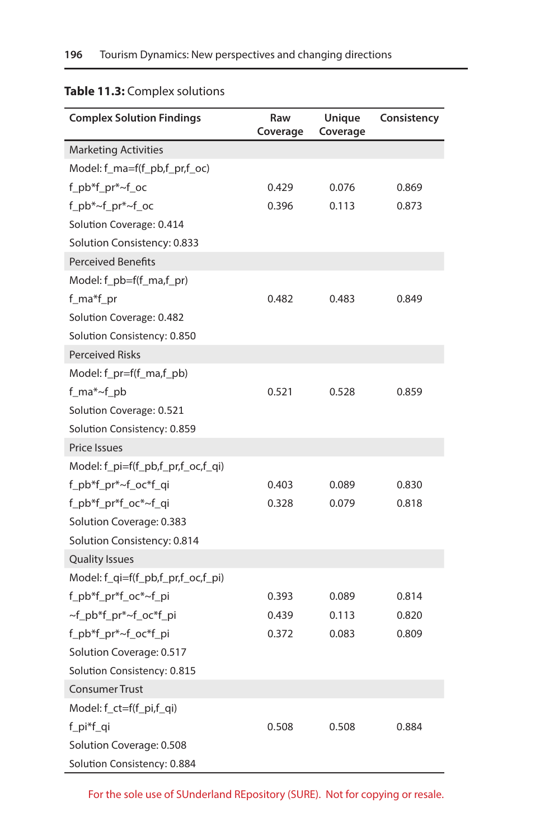| <b>Complex Solution Findings</b>   | Raw<br>Coverage | Unique<br>Coverage | Consistency |
|------------------------------------|-----------------|--------------------|-------------|
| <b>Marketing Activities</b>        |                 |                    |             |
| Model: f_ma=f(f_pb,f_pr,f_oc)      |                 |                    |             |
| f_pb*f_pr*~f_oc                    | 0.429           | 0.076              | 0.869       |
| f_pb*~f_pr*~f_oc                   | 0.396           | 0.113              | 0.873       |
| Solution Coverage: 0.414           |                 |                    |             |
| Solution Consistency: 0.833        |                 |                    |             |
| <b>Perceived Benefits</b>          |                 |                    |             |
| Model: f_pb=f(f_ma,f_pr)           |                 |                    |             |
| f_ma*f_pr                          | 0.482           | 0.483              | 0.849       |
| Solution Coverage: 0.482           |                 |                    |             |
| Solution Consistency: 0.850        |                 |                    |             |
| <b>Perceived Risks</b>             |                 |                    |             |
| Model: f_pr=f(f_ma,f_pb)           |                 |                    |             |
| f_ma*~f_pb                         | 0.521           | 0.528              | 0.859       |
| Solution Coverage: 0.521           |                 |                    |             |
| Solution Consistency: 0.859        |                 |                    |             |
| <b>Price Issues</b>                |                 |                    |             |
| Model: f_pi=f(f_pb,f_pr,f_oc,f_qi) |                 |                    |             |
| f_pb*f_pr*~f_oc*f_qi               | 0.403           | 0.089              | 0.830       |
| f_pb*f_pr*f_oc*~f_qi               | 0.328           | 0.079              | 0.818       |
| Solution Coverage: 0.383           |                 |                    |             |
| Solution Consistency: 0.814        |                 |                    |             |
| <b>Quality Issues</b>              |                 |                    |             |
| Model: f_qi=f(f_pb,f_pr,f_oc,f_pi) |                 |                    |             |
| f_pb*f_pr*f_oc*~f_pi               | 0.393           | 0.089              | 0.814       |
| ~f_pb*f_pr*~f_oc*f_pi              | 0.439           | 0.113              | 0.820       |
| f_pb*f_pr*~f_oc*f_pi               | 0.372           | 0.083              | 0.809       |
| Solution Coverage: 0.517           |                 |                    |             |
| Solution Consistency: 0.815        |                 |                    |             |
| <b>Consumer Trust</b>              |                 |                    |             |
| Model: f_ct=f(f_pi,f_qi)           |                 |                    |             |
| f_pi*f_qi                          | 0.508           | 0.508              | 0.884       |
| Solution Coverage: 0.508           |                 |                    |             |
| Solution Consistency: 0.884        |                 |                    |             |

## **Table 11.3:** Complex solutions

For the sole use of SUnderland REpository (SURE). Not for copying or resale.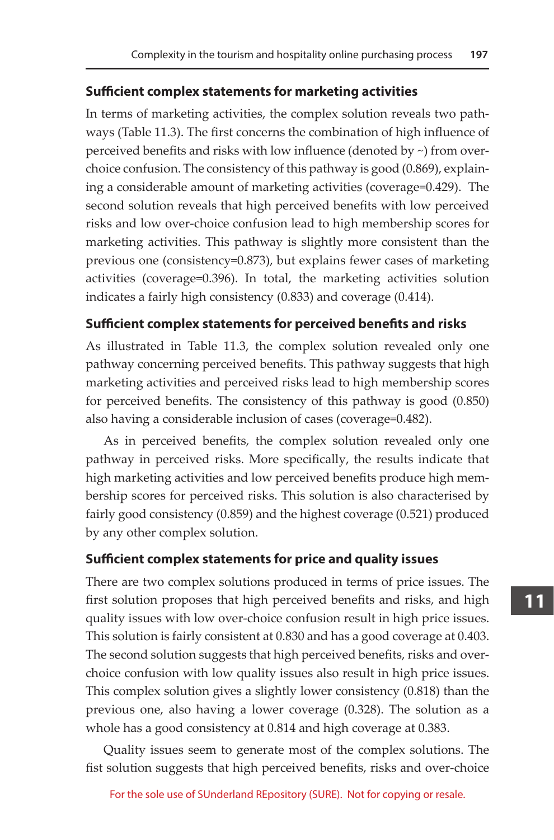#### **Sufficient complex statements for marketing activities**

In terms of marketing activities, the complex solution reveals two pathways (Table 11.3). The first concerns the combination of high influence of perceived benefits and risks with low influence (denoted by ~) from overchoice confusion. The consistency of this pathway is good (0.869), explaining a considerable amount of marketing activities (coverage=0.429). The second solution reveals that high perceived benefits with low perceived risks and low over-choice confusion lead to high membership scores for marketing activities. This pathway is slightly more consistent than the previous one (consistency=0.873), but explains fewer cases of marketing activities (coverage=0.396). In total, the marketing activities solution indicates a fairly high consistency (0.833) and coverage (0.414).

#### **Sufficient complex statements for perceived benefits and risks**

As illustrated in Table 11.3, the complex solution revealed only one pathway concerning perceived benefits. This pathway suggests that high marketing activities and perceived risks lead to high membership scores for perceived benefits. The consistency of this pathway is good (0.850) also having a considerable inclusion of cases (coverage=0.482).

As in perceived benefits, the complex solution revealed only one pathway in perceived risks. More specifically, the results indicate that high marketing activities and low perceived benefits produce high membership scores for perceived risks. This solution is also characterised by fairly good consistency (0.859) and the highest coverage (0.521) produced by any other complex solution.

#### **Sufficient complex statements for price and quality issues**

There are two complex solutions produced in terms of price issues. The first solution proposes that high perceived benefits and risks, and high quality issues with low over-choice confusion result in high price issues. This solution is fairly consistent at 0.830 and has a good coverage at 0.403. The second solution suggests that high perceived benefits, risks and overchoice confusion with low quality issues also result in high price issues. This complex solution gives a slightly lower consistency (0.818) than the previous one, also having a lower coverage (0.328). The solution as a whole has a good consistency at 0.814 and high coverage at 0.383.

Quality issues seem to generate most of the complex solutions. The fist solution suggests that high perceived benefits, risks and over-choice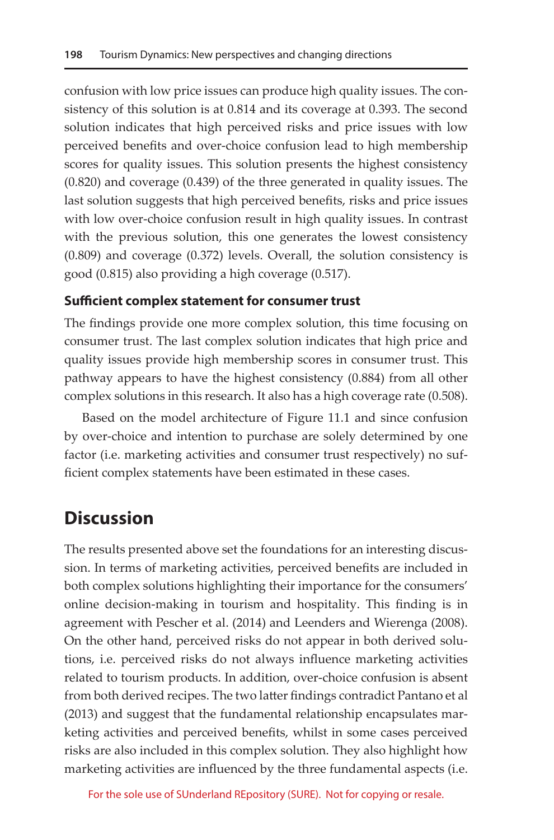confusion with low price issues can produce high quality issues. The consistency of this solution is at 0.814 and its coverage at 0.393. The second solution indicates that high perceived risks and price issues with low perceived benefits and over-choice confusion lead to high membership scores for quality issues. This solution presents the highest consistency (0.820) and coverage (0.439) of the three generated in quality issues. The last solution suggests that high perceived benefits, risks and price issues with low over-choice confusion result in high quality issues. In contrast with the previous solution, this one generates the lowest consistency (0.809) and coverage (0.372) levels. Overall, the solution consistency is good (0.815) also providing a high coverage (0.517).

#### **Sufficient complex statement for consumer trust**

The findings provide one more complex solution, this time focusing on consumer trust. The last complex solution indicates that high price and quality issues provide high membership scores in consumer trust. This pathway appears to have the highest consistency (0.884) from all other complex solutions in this research. It also has a high coverage rate (0.508).

Based on the model architecture of Figure 11.1 and since confusion by over-choice and intention to purchase are solely determined by one factor (i.e. marketing activities and consumer trust respectively) no sufficient complex statements have been estimated in these cases.

# **Discussion**

The results presented above set the foundations for an interesting discussion. In terms of marketing activities, perceived benefits are included in both complex solutions highlighting their importance for the consumers' online decision-making in tourism and hospitality. This finding is in agreement with Pescher et al. (2014) and Leenders and Wierenga (2008). On the other hand, perceived risks do not appear in both derived solutions, i.e. perceived risks do not always influence marketing activities related to tourism products. In addition, over-choice confusion is absent from both derived recipes. The two latter findings contradict Pantano et al (2013) and suggest that the fundamental relationship encapsulates marketing activities and perceived benefits, whilst in some cases perceived risks are also included in this complex solution. They also highlight how marketing activities are influenced by the three fundamental aspects (i.e.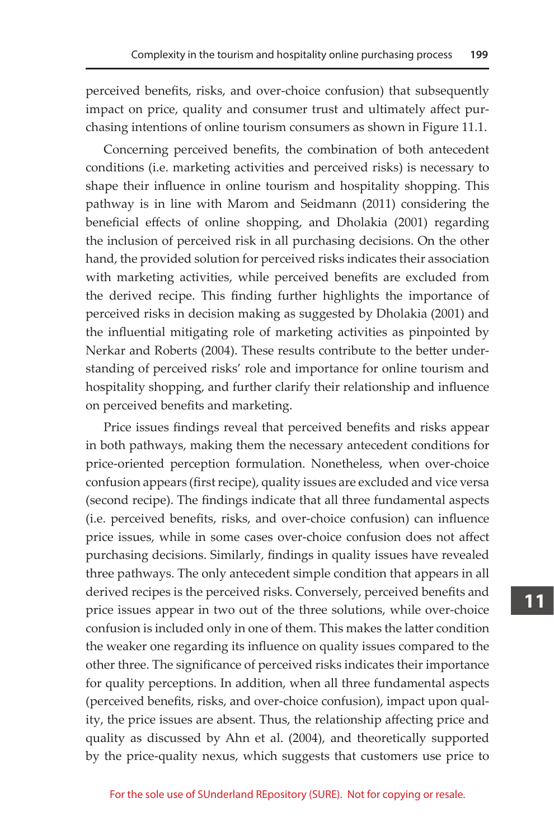perceived benefits, risks, and over-choice confusion) that subsequently impact on price, quality and consumer trust and ultimately affect purchasing intentions of online tourism consumers as shown in Figure 11.1.

Concerning perceived benefits, the combination of both antecedent conditions (i.e. marketing activities and perceived risks) is necessary to shape their influence in online tourism and hospitality shopping. This pathway is in line with Marom and Seidmann (2011) considering the beneficial effects of online shopping, and Dholakia (2001) regarding the inclusion of perceived risk in all purchasing decisions. On the other hand, the provided solution for perceived risks indicates their association with marketing activities, while perceived benefits are excluded from the derived recipe. This finding further highlights the importance of perceived risks in decision making as suggested by Dholakia (2001) and the influential mitigating role of marketing activities as pinpointed by Nerkar and Roberts (2004). These results contribute to the better understanding of perceived risks' role and importance for online tourism and hospitality shopping, and further clarify their relationship and influence on perceived benefits and marketing.

Price issues findings reveal that perceived benefits and risks appear in both pathways, making them the necessary antecedent conditions for price-oriented perception formulation. Nonetheless, when over-choice confusion appears (first recipe), quality issues are excluded and vice versa (second recipe). The findings indicate that all three fundamental aspects (i.e. perceived benefits, risks, and over-choice confusion) can influence price issues, while in some cases over-choice confusion does not affect purchasing decisions. Similarly, findings in quality issues have revealed three pathways. The only antecedent simple condition that appears in all derived recipes is the perceived risks. Conversely, perceived benefits and price issues appear in two out of the three solutions, while over-choice confusion is included only in one of them. This makes the latter condition the weaker one regarding its influence on quality issues compared to the other three. The significance of perceived risks indicates their importance for quality perceptions. In addition, when all three fundamental aspects (perceived benefits, risks, and over-choice confusion), impact upon quality, the price issues are absent. Thus, the relationship affecting price and quality as discussed by Ahn et al. (2004), and theoretically supported by the price-quality nexus, which suggests that customers use price to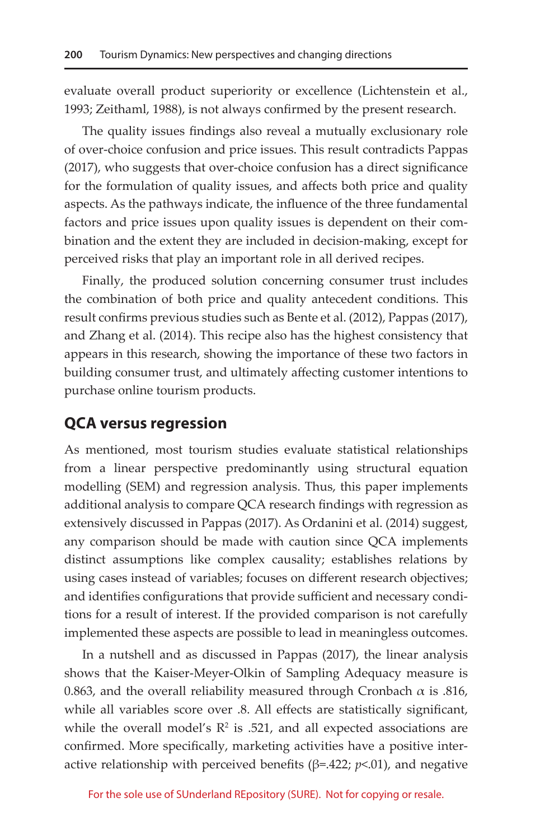evaluate overall product superiority or excellence (Lichtenstein et al., 1993; Zeithaml, 1988), is not always confirmed by the present research.

The quality issues findings also reveal a mutually exclusionary role of over-choice confusion and price issues. This result contradicts Pappas (2017), who suggests that over-choice confusion has a direct significance for the formulation of quality issues, and affects both price and quality aspects. As the pathways indicate, the influence of the three fundamental factors and price issues upon quality issues is dependent on their combination and the extent they are included in decision-making, except for perceived risks that play an important role in all derived recipes.

Finally, the produced solution concerning consumer trust includes the combination of both price and quality antecedent conditions. This result confirms previous studies such as Bente et al. (2012), Pappas (2017), and Zhang et al. (2014). This recipe also has the highest consistency that appears in this research, showing the importance of these two factors in building consumer trust, and ultimately affecting customer intentions to purchase online tourism products.

#### **QCA versus regression**

As mentioned, most tourism studies evaluate statistical relationships from a linear perspective predominantly using structural equation modelling (SEM) and regression analysis. Thus, this paper implements additional analysis to compare QCA research findings with regression as extensively discussed in Pappas (2017). As Ordanini et al. (2014) suggest, any comparison should be made with caution since QCA implements distinct assumptions like complex causality; establishes relations by using cases instead of variables; focuses on different research objectives; and identifies configurations that provide sufficient and necessary conditions for a result of interest. If the provided comparison is not carefully implemented these aspects are possible to lead in meaningless outcomes.

In a nutshell and as discussed in Pappas (2017), the linear analysis shows that the Kaiser-Meyer-Olkin of Sampling Adequacy measure is 0.863, and the overall reliability measured through Cronbach  $\alpha$  is .816, while all variables score over .8. All effects are statistically significant, while the overall model's  $\mathbb{R}^2$  is .521, and all expected associations are confirmed. More specifically, marketing activities have a positive interactive relationship with perceived benefits (β=.422; *p*<.01), and negative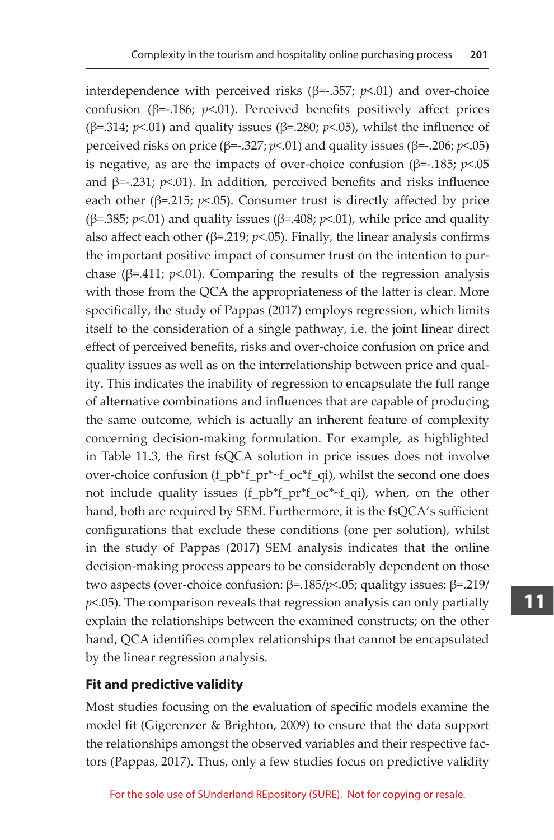interdependence with perceived risks ( $β = .357$ ;  $p < .01$ ) and over-choice confusion (β=-.186; *p*<.01). Perceived benefits positively affect prices ( $\beta$ =.314;  $p$ <.01) and quality issues ( $\beta$ =.280;  $p$ <.05), whilst the influence of perceived risks on price (β=-.327; *p*<.01) and quality issues (β=-.206; *p*<.05) is negative, as are the impacts of over-choice confusion ( $\beta$ =-.185; *p*<.05 and β=-.231; *p*<.01). In addition, perceived benefits and risks influence each other ( $\beta$ =.215;  $p$ <.05). Consumer trust is directly affected by price ( $\beta$ =.385;  $p$ <.01) and quality issues ( $\beta$ =.408;  $p$ <.01), while price and quality also affect each other ( $\beta$ =.219;  $p$ <.05). Finally, the linear analysis confirms the important positive impact of consumer trust on the intention to purchase ( $\beta$ =.411;  $p$ <.01). Comparing the results of the regression analysis with those from the QCA the appropriateness of the latter is clear. More specifically, the study of Pappas (2017) employs regression, which limits itself to the consideration of a single pathway, i.e. the joint linear direct effect of perceived benefits, risks and over-choice confusion on price and quality issues as well as on the interrelationship between price and quality. This indicates the inability of regression to encapsulate the full range of alternative combinations and influences that are capable of producing the same outcome, which is actually an inherent feature of complexity concerning decision-making formulation. For example, as highlighted in Table 11.3, the first fsQCA solution in price issues does not involve over-choice confusion (f\_pb\*f\_pr\*~f\_oc\*f\_qi), whilst the second one does not include quality issues (f\_pb\*f\_pr\*f\_oc\*~f\_qi), when, on the other hand, both are required by SEM. Furthermore, it is the fsQCA's sufficient configurations that exclude these conditions (one per solution), whilst in the study of Pappas (2017) SEM analysis indicates that the online decision-making process appears to be considerably dependent on those two aspects (over-choice confusion: β=.185/*p*<.05; qualitgy issues: β=.219/ *p*<.05). The comparison reveals that regression analysis can only partially explain the relationships between the examined constructs; on the other hand, QCA identifies complex relationships that cannot be encapsulated by the linear regression analysis.

#### **Fit and predictive validity**

Most studies focusing on the evaluation of specific models examine the model fit (Gigerenzer & Brighton, 2009) to ensure that the data support the relationships amongst the observed variables and their respective factors (Pappas, 2017). Thus, only a few studies focus on predictive validity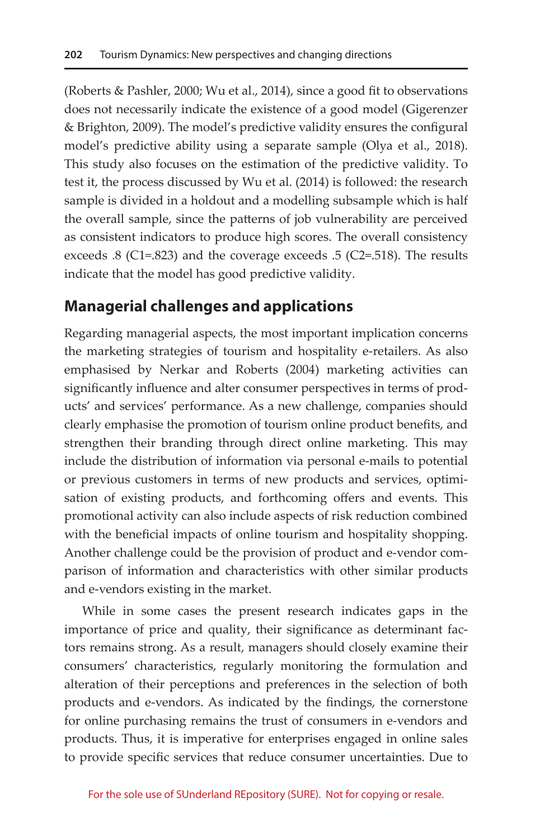(Roberts & Pashler, 2000; Wu et al., 2014), since a good fit to observations does not necessarily indicate the existence of a good model (Gigerenzer & Brighton, 2009). The model's predictive validity ensures the configural model's predictive ability using a separate sample (Olya et al., 2018). This study also focuses on the estimation of the predictive validity. To test it, the process discussed by Wu et al. (2014) is followed: the research sample is divided in a holdout and a modelling subsample which is half the overall sample, since the patterns of job vulnerability are perceived as consistent indicators to produce high scores. The overall consistency exceeds .8 (C1=.823) and the coverage exceeds .5 (C2=.518). The results indicate that the model has good predictive validity.

## **Managerial challenges and applications**

Regarding managerial aspects, the most important implication concerns the marketing strategies of tourism and hospitality e-retailers. As also emphasised by Nerkar and Roberts (2004) marketing activities can significantly influence and alter consumer perspectives in terms of products' and services' performance. As a new challenge, companies should clearly emphasise the promotion of tourism online product benefits, and strengthen their branding through direct online marketing. This may include the distribution of information via personal e-mails to potential or previous customers in terms of new products and services, optimisation of existing products, and forthcoming offers and events. This promotional activity can also include aspects of risk reduction combined with the beneficial impacts of online tourism and hospitality shopping. Another challenge could be the provision of product and e-vendor comparison of information and characteristics with other similar products and e-vendors existing in the market.

While in some cases the present research indicates gaps in the importance of price and quality, their significance as determinant factors remains strong. As a result, managers should closely examine their consumers' characteristics, regularly monitoring the formulation and alteration of their perceptions and preferences in the selection of both products and e-vendors. As indicated by the findings, the cornerstone for online purchasing remains the trust of consumers in e-vendors and products. Thus, it is imperative for enterprises engaged in online sales to provide specific services that reduce consumer uncertainties. Due to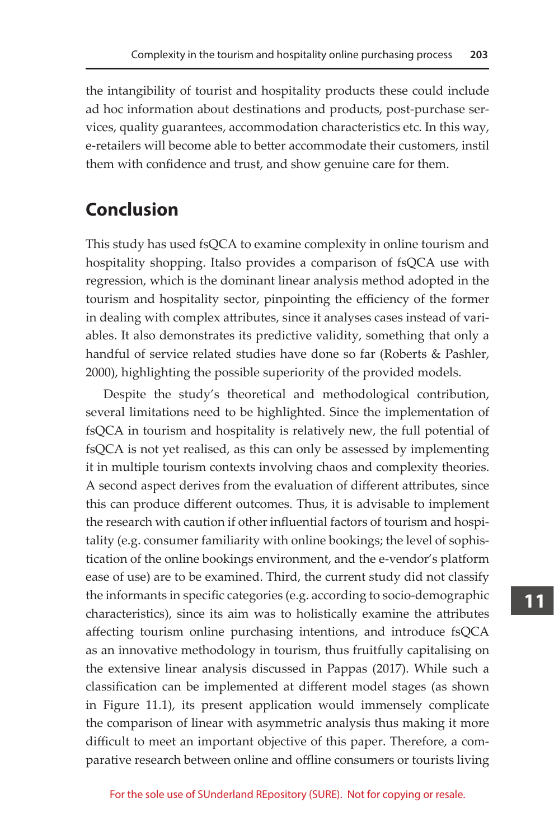the intangibility of tourist and hospitality products these could include ad hoc information about destinations and products, post-purchase services, quality guarantees, accommodation characteristics etc. In this way, e-retailers will become able to better accommodate their customers, instil them with confidence and trust, and show genuine care for them.

# **Conclusion**

This study has used fsQCA to examine complexity in online tourism and hospitality shopping. Italso provides a comparison of fsQCA use with regression, which is the dominant linear analysis method adopted in the tourism and hospitality sector, pinpointing the efficiency of the former in dealing with complex attributes, since it analyses cases instead of variables. It also demonstrates its predictive validity, something that only a handful of service related studies have done so far (Roberts & Pashler, 2000), highlighting the possible superiority of the provided models.

Despite the study's theoretical and methodological contribution, several limitations need to be highlighted. Since the implementation of fsQCA in tourism and hospitality is relatively new, the full potential of fsQCA is not yet realised, as this can only be assessed by implementing it in multiple tourism contexts involving chaos and complexity theories. A second aspect derives from the evaluation of different attributes, since this can produce different outcomes. Thus, it is advisable to implement the research with caution if other influential factors of tourism and hospitality (e.g. consumer familiarity with online bookings; the level of sophistication of the online bookings environment, and the e-vendor's platform ease of use) are to be examined. Third, the current study did not classify the informants in specific categories (e.g. according to socio-demographic characteristics), since its aim was to holistically examine the attributes affecting tourism online purchasing intentions, and introduce fsQCA as an innovative methodology in tourism, thus fruitfully capitalising on the extensive linear analysis discussed in Pappas (2017). While such a classification can be implemented at different model stages (as shown in Figure 11.1), its present application would immensely complicate the comparison of linear with asymmetric analysis thus making it more difficult to meet an important objective of this paper. Therefore, a comparative research between online and offline consumers or tourists living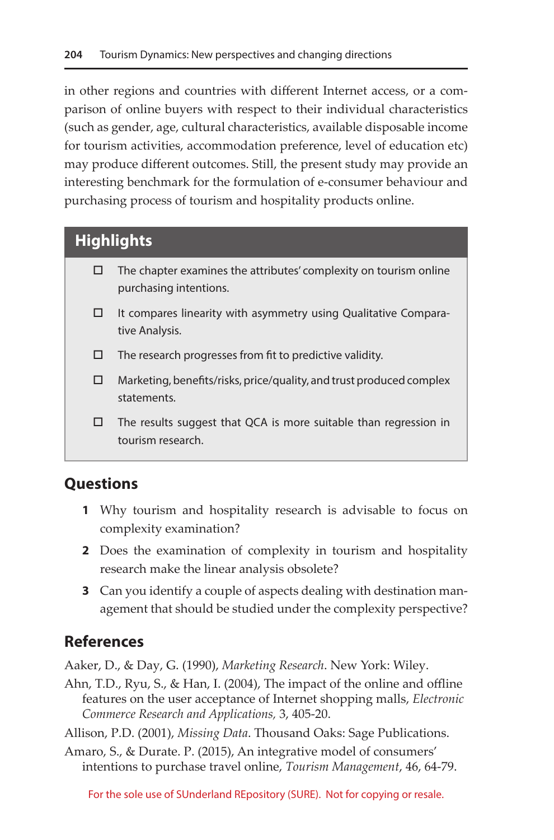in other regions and countries with different Internet access, or a comparison of online buyers with respect to their individual characteristics (such as gender, age, cultural characteristics, available disposable income for tourism activities, accommodation preference, level of education etc) may produce different outcomes. Still, the present study may provide an interesting benchmark for the formulation of e-consumer behaviour and purchasing process of tourism and hospitality products online.

# **Highlights**

- $\Box$  The chapter examines the attributes' complexity on tourism online purchasing intentions.
- $\Box$  It compares linearity with asymmetry using Qualitative Comparative Analysis.
- $\square$  The research progresses from fit to predictive validity.
- $\Box$  Marketing, benefits/risks, price/quality, and trust produced complex statements.
- $\square$  The results suggest that QCA is more suitable than regression in tourism research.

## **Questions**

- **1** Why tourism and hospitality research is advisable to focus on complexity examination?
- **2** Does the examination of complexity in tourism and hospitality research make the linear analysis obsolete?
- **3** Can you identify a couple of aspects dealing with destination management that should be studied under the complexity perspective?

## **References**

Aaker, D., & Day, G. (1990), *Marketing Research*. New York: Wiley.

- Ahn, T.D., Ryu, S., & Han, I. (2004), The impact of the online and offline features on the user acceptance of Internet shopping malls, *Electronic Commerce Research and Applications,* 3, 405-20.
- Allison, P.D. (2001), *Missing Data*. Thousand Oaks: Sage Publications.
- Amaro, S., & Durate. P. (2015), An integrative model of consumers' intentions to purchase travel online, *Tourism Management*, 46, 64-79.

For the sole use of SUnderland REpository (SURE). Not for copying or resale.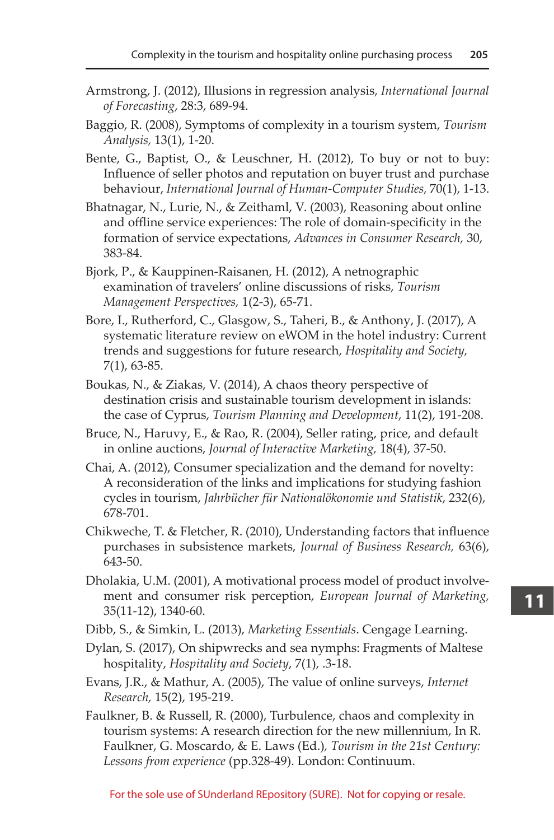- Armstrong, J. (2012), Illusions in regression analysis, *International Journal of Forecasting*, 28:3, 689-94.
- Baggio, R. (2008), Symptoms of complexity in a tourism system, *Tourism Analysis,* 13(1), 1-20.
- Bente, G., Baptist, O., & Leuschner, H. (2012), To buy or not to buy: Influence of seller photos and reputation on buyer trust and purchase behaviour, *International Journal of Human-Computer Studies,* 70(1), 1-13.
- Bhatnagar, N., Lurie, N., & Zeithaml, V. (2003), Reasoning about online and offline service experiences: The role of domain-specificity in the formation of service expectations, *Advances in Consumer Research,* 30, 383-84.
- Bjork, P., & Kauppinen-Raisanen, H. (2012), A netnographic examination of travelers' online discussions of risks, *Tourism Management Perspectives,* 1(2-3), 65-71.
- Bore, I., Rutherford, C., Glasgow, S., Taheri, B., & Anthony, J. (2017), A systematic literature review on eWOM in the hotel industry: Current trends and suggestions for future research, *Hospitality and Society,*  7(1), 63-85.
- Boukas, N., & Ziakas, V. (2014), A chaos theory perspective of destination crisis and sustainable tourism development in islands: the case of Cyprus, *Tourism Planning and Development*, 11(2), 191-208.
- Bruce, N., Haruvy, E., & Rao, R. (2004), Seller rating, price, and default in online auctions, *Journal of Interactive Marketing,* 18(4), 37-50.
- Chai, A. (2012), Consumer specialization and the demand for novelty: A reconsideration of the links and implications for studying fashion cycles in tourism, *Jahrbücher für Nationalökonomie und Statistik*, 232(6), 678-701.
- Chikweche, T. & Fletcher, R. (2010), Understanding factors that influence purchases in subsistence markets, *Journal of Business Research,* 63(6), 643-50.
- Dholakia, U.M. (2001), A motivational process model of product involvement and consumer risk perception, *European Journal of Marketing,*  35(11-12), 1340-60.
- Dibb, S., & Simkin, L. (2013), *Marketing Essentials*. Cengage Learning.
- Dylan, S. (2017), On shipwrecks and sea nymphs: Fragments of Maltese hospitality, *Hospitality and Society*, 7(1), .3-18.
- Evans, J.R., & Mathur, A. (2005), The value of online surveys, *Internet Research,* 15(2), 195-219.
- Faulkner, B. & Russell, R. (2000), Turbulence, chaos and complexity in tourism systems: A research direction for the new millennium, In R. Faulkner, G. Moscardo, & E. Laws (Ed.)*, Tourism in the 21st Century: Lessons from experience* (pp.328-49). London: Continuum.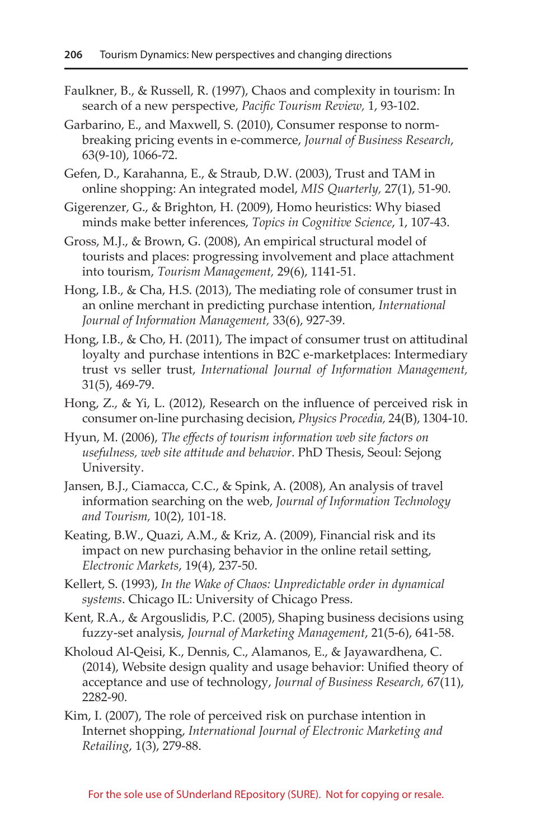- Faulkner, B., & Russell, R. (1997), Chaos and complexity in tourism: In search of a new perspective, *Pacific Tourism Review,* 1, 93-102.
- Garbarino, E., and Maxwell, S. (2010), Consumer response to normbreaking pricing events in e-commerce, *Journal of Business Research*, 63(9-10), 1066-72.
- Gefen, D., Karahanna, E., & Straub, D.W. (2003), Trust and TAM in online shopping: An integrated model, *MIS Quarterly,* 27(1), 51-90.
- Gigerenzer, G., & Brighton, H. (2009), Homo heuristics: Why biased minds make better inferences, *Topics in Cognitive Science*, 1, 107-43.
- Gross, M.J., & Brown, G. (2008), An empirical structural model of tourists and places: progressing involvement and place attachment into tourism, *Tourism Management,* 29(6), 1141-51.
- Hong, I.B., & Cha, H.S. (2013), The mediating role of consumer trust in an online merchant in predicting purchase intention, *International Journal of Information Management,* 33(6), 927-39.
- Hong, I.B., & Cho, H. (2011), The impact of consumer trust on attitudinal loyalty and purchase intentions in B2C e-marketplaces: Intermediary trust vs seller trust, *International Journal of Information Management,*  31(5), 469-79.
- Hong, Z., & Yi, L. (2012), Research on the influence of perceived risk in consumer on-line purchasing decision, *Physics Procedia,* 24(B), 1304-10.
- Hyun, M. (2006), *The effects of tourism information web site factors on usefulness, web site attitude and behavior*. PhD Thesis, Seoul: Sejong University.
- Jansen, B.J., Ciamacca, C.C., & Spink, A. (2008), An analysis of travel information searching on the web, *Journal of Information Technology and Tourism,* 10(2), 101-18.
- Keating, B.W., Quazi, A.M., & Kriz, A. (2009), Financial risk and its impact on new purchasing behavior in the online retail setting, *Electronic Markets*, 19(4), 237-50.
- Kellert, S. (1993), *In the Wake of Chaos: Unpredictable order in dynamical systems*. Chicago IL: University of Chicago Press.
- Kent, R.A., & Argouslidis, P.C. (2005), Shaping business decisions using fuzzy-set analysis, *Journal of Marketing Management*, 21(5-6), 641-58.
- Kholoud Al-Qeisi, K., Dennis, C., Alamanos, E., & Jayawardhena, C. (2014), Website design quality and usage behavior: Unified theory of acceptance and use of technology, *Journal of Business Research,* 67(11), 2282-90.
- Kim, I. (2007), The role of perceived risk on purchase intention in Internet shopping, *International Journal of Electronic Marketing and Retailing*, 1(3), 279-88.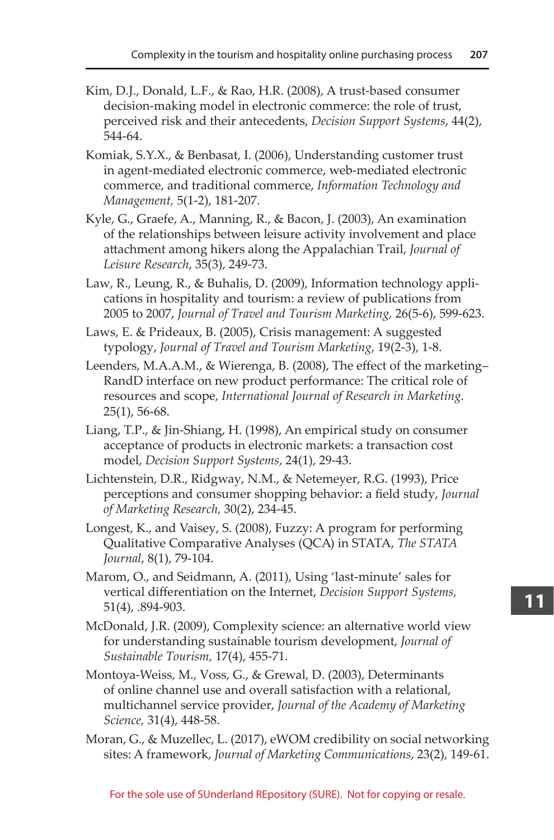- Kim, D.J., Donald, L.F., & Rao, H.R. (2008), A trust-based consumer decision-making model in electronic commerce: the role of trust, perceived risk and their antecedents, *Decision Support Systems*, 44(2), 544-64.
- Komiak, S.Y.X., & Benbasat, I. (2006), Understanding customer trust in agent-mediated electronic commerce, web-mediated electronic commerce, and traditional commerce, *Information Technology and Management,* 5(1-2), 181-207.
- Kyle, G., Graefe, A., Manning, R., & Bacon, J. (2003), An examination of the relationships between leisure activity involvement and place attachment among hikers along the Appalachian Trail, *Journal of Leisure Research*, 35(3), 249-73.
- Law, R., Leung, R., & Buhalis, D. (2009), Information technology applications in hospitality and tourism: a review of publications from 2005 to 2007, *Journal of Travel and Tourism Marketing,* 26(5-6), 599-623.
- Laws, E. & Prideaux, B. (2005), Crisis management: A suggested typology, *Journal of Travel and Tourism Marketing*, 19(2-3), 1-8.
- Leenders, M.A.A.M., & Wierenga, B. (2008), The effect of the marketing– RandD interface on new product performance: The critical role of resources and scope, *International Journal of Research in Marketing.*  25(1), 56-68.
- Liang, T.P., & Jin-Shiang, H. (1998), An empirical study on consumer acceptance of products in electronic markets: a transaction cost model, *Decision Support Systems*, 24(1), 29-43.
- Lichtenstein, D.R., Ridgway, N.M., & Netemeyer, R.G. (1993), Price perceptions and consumer shopping behavior: a field study, *Journal of Marketing Research,* 30(2), 234-45.
- Longest, K., and Vaisey, S. (2008), Fuzzy: A program for performing Qualitative Comparative Analyses (QCA) in STATA, *The STATA Journal*, 8(1), 79-104.
- Marom, O., and Seidmann, A. (2011), Using 'last-minute' sales for vertical differentiation on the Internet, *Decision Support Systems,*  51(4), .894-903.
- McDonald, J.R. (2009), Complexity science: an alternative world view for understanding sustainable tourism development, *Journal of Sustainable Tourism,* 17(4), 455-71.
- Montoya-Weiss, M., Voss, G., & Grewal, D. (2003), Determinants of online channel use and overall satisfaction with a relational, multichannel service provider, *Journal of the Academy of Marketing Science,* 31(4), 448-58.
- Moran, G., & Muzellec, L. (2017), eWOM credibility on social networking sites: A framework, *Journal of Marketing Communications*, 23(2), 149-61.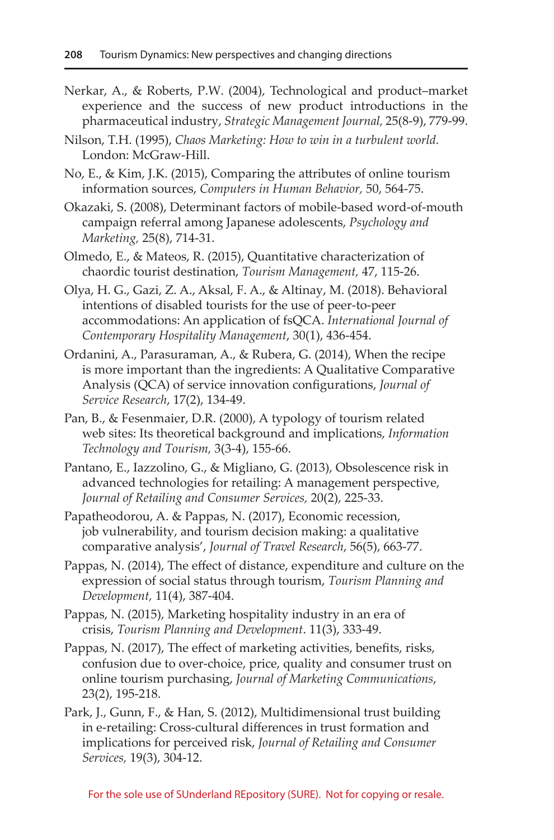- Nerkar, A., & Roberts, P.W. (2004), Technological and product–market experience and the success of new product introductions in the pharmaceutical industry, *Strategic Management Journal,* 25(8-9), 779-99.
- Nilson, T.H. (1995), *Chaos Marketing: How to win in a turbulent world.* London: McGraw-Hill.

No, E., & Kim, J.K. (2015), Comparing the attributes of online tourism information sources, *Computers in Human Behavior,* 50, 564-75.

Okazaki, S. (2008), Determinant factors of mobile-based word-of-mouth campaign referral among Japanese adolescents, *Psychology and Marketing,* 25(8), 714-31.

Olmedo, E., & Mateos, R. (2015), Quantitative characterization of chaordic tourist destination, *Tourism Management,* 47, 115-26.

- Olya, H. G., Gazi, Z. A., Aksal, F. A., & Altinay, M. (2018). Behavioral intentions of disabled tourists for the use of peer-to-peer accommodations: An application of fsQCA. *International Journal of Contemporary Hospitality Management*, 30(1), 436-454.
- Ordanini, A., Parasuraman, A., & Rubera, G. (2014), When the recipe is more important than the ingredients: A Qualitative Comparative Analysis (QCA) of service innovation configurations, *Journal of Service Research*, 17(2), 134-49.
- Pan, B., & Fesenmaier, D.R. (2000), A typology of tourism related web sites: Its theoretical background and implications, *Information Technology and Tourism,* 3(3-4), 155-66.
- Pantano, E., Iazzolino, G., & Migliano, G. (2013), Obsolescence risk in advanced technologies for retailing: A management perspective, *Journal of Retailing and Consumer Services,* 20(2), 225-33.
- Papatheodorou, A. & Pappas, N. (2017), Economic recession, job vulnerability, and tourism decision making: a qualitative comparative analysis', *Journal of Travel Research*, 56(5), 663-77.
- Pappas, N. (2014), The effect of distance, expenditure and culture on the expression of social status through tourism, *Tourism Planning and Development,* 11(4), 387-404.
- Pappas, N. (2015), Marketing hospitality industry in an era of crisis, *Tourism Planning and Development*. 11(3), 333-49.
- Pappas, N. (2017), The effect of marketing activities, benefits, risks, confusion due to over-choice, price, quality and consumer trust on online tourism purchasing, *Journal of Marketing Communications*, 23(2), 195-218.
- Park, J., Gunn, F., & Han, S. (2012), Multidimensional trust building in e-retailing: Cross-cultural differences in trust formation and implications for perceived risk, *Journal of Retailing and Consumer Services,* 19(3), 304-12.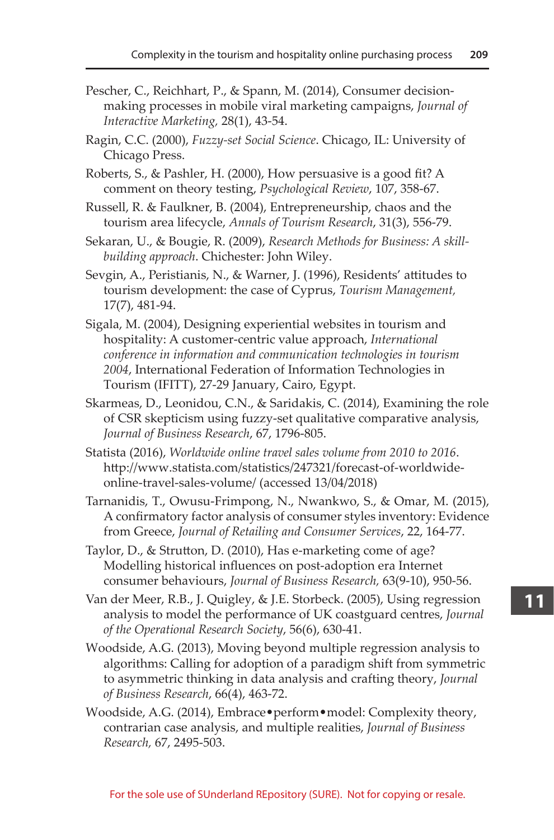- Pescher, C., Reichhart, P., & Spann, M. (2014), Consumer decisionmaking processes in mobile viral marketing campaigns, *Journal of Interactive Marketing,* 28(1), 43-54.
- Ragin, C.C. (2000), *Fuzzy-set Social Science*. Chicago, IL: University of Chicago Press.
- Roberts, S., & Pashler, H. (2000), How persuasive is a good fit? A comment on theory testing, *Psychological Review*, 107, 358-67.
- Russell, R. & Faulkner, B. (2004), Entrepreneurship, chaos and the tourism area lifecycle, *Annals of Tourism Research*, 31(3), 556-79.
- Sekaran, U., & Bougie, R. (2009), *Research Methods for Business: A skillbuilding approach*. Chichester: John Wiley.
- Sevgin, A., Peristianis, N., & Warner, J. (1996), Residents' attitudes to tourism development: the case of Cyprus, *Tourism Management,*  17(7), 481-94.
- Sigala, M. (2004), Designing experiential websites in tourism and hospitality: A customer-centric value approach, *International conference in information and communication technologies in tourism 2004*, International Federation of Information Technologies in Tourism (IFITT), 27-29 January, Cairo, Egypt.
- Skarmeas, D., Leonidou, C.N., & Saridakis, C. (2014), Examining the role of CSR skepticism using fuzzy-set qualitative comparative analysis, *Journal of Business Research*, 67, 1796-805.
- Statista (2016), *Worldwide online travel sales volume from 2010 to 2016*. [http://www.statista.com/statistics/247321/forecast-of-worldwide](http://www.statista.com/statistics/247321/forecast-of-worldwide-online-travel-sales-volume/)[online-travel-sales-volume/](http://www.statista.com/statistics/247321/forecast-of-worldwide-online-travel-sales-volume/) (accessed 13/04/2018)
- Tarnanidis, T., Owusu-Frimpong, N., Nwankwo, S., & Omar, M. (2015), A confirmatory factor analysis of consumer styles inventory: Evidence from Greece, *Journal of Retailing and Consumer Services*, 22, 164-77.
- Taylor, D., & Strutton, D. (2010), Has e-marketing come of age? Modelling historical influences on post-adoption era Internet consumer behaviours, *Journal of Business Research,* 63(9-10), 950-56.
- Van der Meer, R.B., J. Quigley, & J.E. Storbeck. (2005), Using regression analysis to model the performance of UK coastguard centres, *Journal of the Operational Research Society*, 56(6), 630-41.
- Woodside, A.G. (2013), Moving beyond multiple regression analysis to algorithms: Calling for adoption of a paradigm shift from symmetric to asymmetric thinking in data analysis and crafting theory, *Journal of Business Research*, 66(4), 463-72.
- Woodside, A.G. (2014), Embrace•perform•model: Complexity theory, contrarian case analysis, and multiple realities, *Journal of Business Research,* 67, 2495-503.